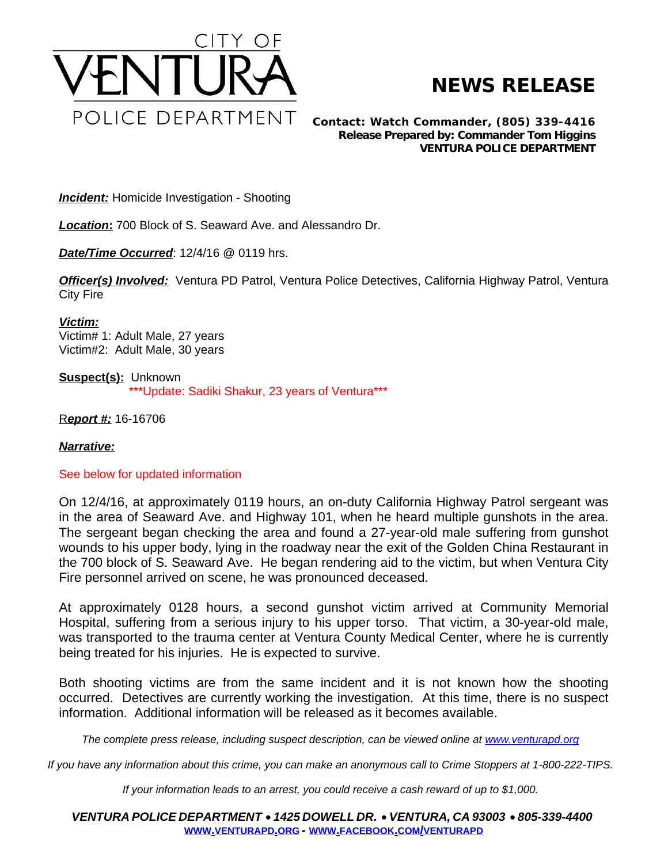

## **NEWS RELEASE**

*Contact: Watch Commander, (805) 339-4416 Release Prepared by: Commander Tom Higgins* **VENTURA POLICE DEPARTMENT**

**Incident:** Homicide Investigation - Shooting

*Location***:** 700 Block of S. Seaward Ave. and Alessandro Dr.

*Date/Time Occurred*: 12/4/16 @ 0119 hrs.

*Officer(s) Involved:* Ventura PD Patrol, Ventura Police Detectives, California Highway Patrol, Ventura City Fire

*Victim:* Victim# 1: Adult Male, 27 years Victim#2: Adult Male, 30 years

**Suspect(s):** Unknown \*\*\*Update: Sadiki Shakur, 23 years of Ventura\*\*\*

R*eport #:* 16-16706

## *Narrative:*

## See below for updated information

On 12/4/16, at approximately 0119 hours, an on-duty California Highway Patrol sergeant was in the area of Seaward Ave. and Highway 101, when he heard multiple gunshots in the area. The sergeant began checking the area and found a 27-year-old male suffering from gunshot wounds to his upper body, lying in the roadway near the exit of the Golden China Restaurant in the 700 block of S. Seaward Ave. He began rendering aid to the victim, but when Ventura City Fire personnel arrived on scene, he was pronounced deceased.

At approximately 0128 hours, a second gunshot victim arrived at Community Memorial Hospital, suffering from a serious injury to his upper torso. That victim, a 30-year-old male, was transported to the trauma center at Ventura County Medical Center, where he is currently being treated for his injuries. He is expected to survive.

Both shooting victims are from the same incident and it is not known how the shooting occurred. Detectives are currently working the investigation. At this time, there is no suspect information. Additional information will be released as it becomes available.

*The complete press release, including suspect description, can be viewed online at [www.venturapd.org](http://www.venturapd.org)* 

*If you have any information about this crime, you can make an anonymous call to Crime Stoppers at 1-800-222-TIPS.*

*If your information leads to an arrest, you could receive a cash reward of up to \$1,000.*

*VENTURA POLICE DEPARTMENT* · *1425 DOWELL DR.* · *VENTURA, CA 93003* · *805-339-4400* **WWW.[VENTURAPD](http://www.venturapd.org).ORG** *-* **WWW.FACEBOOK.COM/[VENTURAPD](http://www.facebook.com/venturapd)**